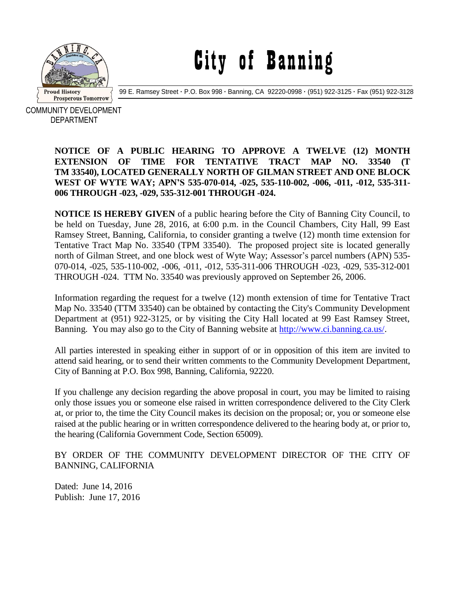

City of Banning

99 E. Ramsey Street **·** P.O. Box 998 **·** Banning, CA 92220-0998 **·** (951) 922-3125 **·** Fax (951) 922-3128

COMMUNITY DEVELOPMENT DEPARTMENT

## **NOTICE OF A PUBLIC HEARING TO APPROVE A TWELVE (12) MONTH EXTENSION OF TIME FOR TENTATIVE TRACT MAP NO. 33540 (T TM 33540), LOCATED GENERALLY NORTH OF GILMAN STREET AND ONE BLOCK WEST OF WYTE WAY; APN'S 535-070-014, -025, 535-110-002, -006, -011, -012, 535-311- 006 THROUGH -023, -029, 535-312-001 THROUGH -024.**

**NOTICE IS HEREBY GIVEN** of a public hearing before the City of Banning City Council, to be held on Tuesday, June 28, 2016, at 6:00 p.m. in the Council Chambers, City Hall, 99 East Ramsey Street, Banning, California, to consider granting a twelve (12) month time extension for Tentative Tract Map No. 33540 (TPM 33540). The proposed project site is located generally north of Gilman Street, and one block west of Wyte Way; Assessor's parcel numbers (APN) 535- 070-014, -025, 535-110-002, -006, -011, -012, 535-311-006 THROUGH -023, -029, 535-312-001 THROUGH -024. TTM No. 33540 was previously approved on September 26, 2006.

Information regarding the request for a twelve (12) month extension of time for Tentative Tract Map No. 33540 (TTM 33540) can be obtained by contacting the City's Community Development Department at (951) 922-3125, or by visiting the City Hall located at 99 East Ramsey Street, Banning. You may also go to the City of Banning website at [http://www.ci.banning.ca.us/.](http://www.ci.banning.ca.us/)

All parties interested in speaking either in support of or in opposition of this item are invited to attend said hearing, or to send their written comments to the Community Development Department, City of Banning at P.O. Box 998, Banning, California, 92220.

If you challenge any decision regarding the above proposal in court, you may be limited to raising only those issues you or someone else raised in written correspondence delivered to the City Clerk at, or prior to, the time the City Council makes its decision on the proposal; or, you or someone else raised at the public hearing or in written correspondence delivered to the hearing body at, or prior to, the hearing (California Government Code, Section 65009).

BY ORDER OF THE COMMUNITY DEVELOPMENT DIRECTOR OF THE CITY OF BANNING, CALIFORNIA

Dated: June 14, 2016 Publish: June 17, 2016